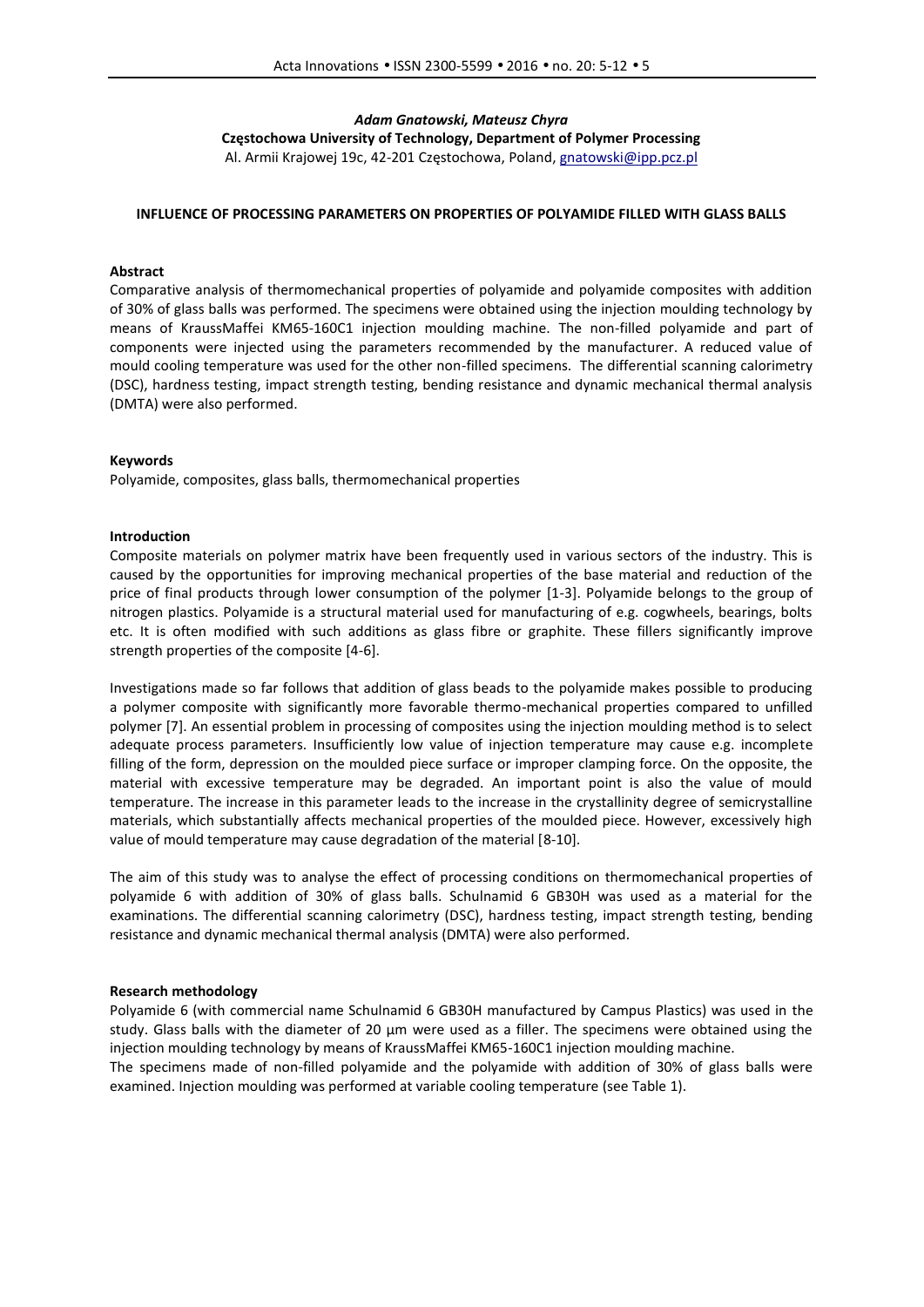# *Adam Gnatowski, Mateusz Chyra* **Częstochowa University of Technology, Department of Polymer Processing** Al. Armii Krajowej 19c, 42-201 Częstochowa, Poland, gnatowski@ipp.pcz.pl

## **INFLUENCE OF PROCESSING PARAMETERS ON PROPERTIES OF POLYAMIDE FILLED WITH GLASS BALLS**

### **Abstract**

Comparative analysis of thermomechanical properties of polyamide and polyamide composites with addition of 30% of glass balls was performed. The specimens were obtained using the injection moulding technology by means of KraussMaffei KM65-160C1 injection moulding machine. The non-filled polyamide and part of components were injected using the parameters recommended by the manufacturer. A reduced value of mould cooling temperature was used for the other non-filled specimens. The differential scanning calorimetry (DSC), hardness testing, impact strength testing, bending resistance and dynamic mechanical thermal analysis (DMTA) were also performed.

#### **Keywords**

Polyamide, composites, glass balls, thermomechanical properties

### **Introduction**

Composite materials on polymer matrix have been frequently used in various sectors of the industry. This is caused by the opportunities for improving mechanical properties of the base material and reduction of the price of final products through lower consumption of the polymer [1-3]. Polyamide belongs to the group of nitrogen plastics. Polyamide is a structural material used for manufacturing of e.g. cogwheels, bearings, bolts etc. It is often modified with such additions as glass fibre or graphite. These fillers significantly improve strength properties of the composite [4-6].

Investigations made so far follows that addition of glass beads to the polyamide makes possible to producing a polymer composite with significantly more favorable thermo-mechanical properties compared to unfilled polymer [7]. An essential problem in processing of composites using the injection moulding method is to select adequate process parameters. Insufficiently low value of injection temperature may cause e.g. incomplete filling of the form, depression on the moulded piece surface or improper clamping force. On the opposite, the material with excessive temperature may be degraded. An important point is also the value of mould temperature. The increase in this parameter leads to the increase in the crystallinity degree of semicrystalline materials, which substantially affects mechanical properties of the moulded piece. However, excessively high value of mould temperature may cause degradation of the material [8-10].

The aim of this study was to analyse the effect of processing conditions on thermomechanical properties of polyamide 6 with addition of 30% of glass balls. Schulnamid 6 GB30H was used as a material for the examinations. The differential scanning calorimetry (DSC), hardness testing, impact strength testing, bending resistance and dynamic mechanical thermal analysis (DMTA) were also performed.

#### **Research methodology**

Polyamide 6 (with commercial name Schulnamid 6 GB30H manufactured by Campus Plastics) was used in the study. Glass balls with the diameter of 20 µm were used as a filler. The specimens were obtained using the injection moulding technology by means of KraussMaffei KM65-160C1 injection moulding machine. The specimens made of non-filled polyamide and the polyamide with addition of 30% of glass balls were examined. Injection moulding was performed at variable cooling temperature (see Table 1).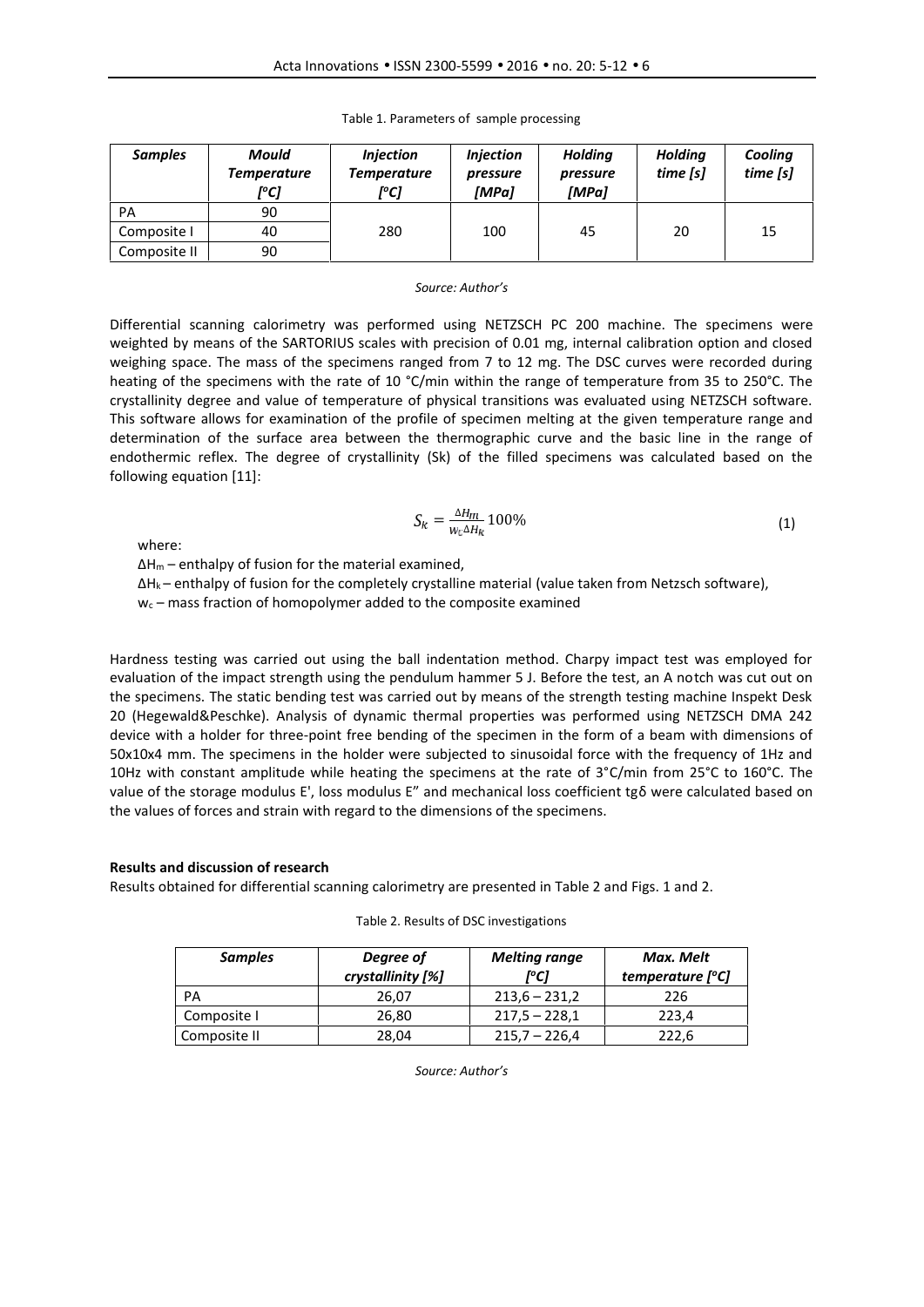| <b>Samples</b> | Mould<br><b>Temperature</b><br>[°C] | <b>Injection</b><br>Temperature<br>[°C] | <b>Injection</b><br>pressure<br>[MPa] | <b>Holding</b><br>pressure<br>[MPa] | <b>Holding</b><br>time [s] | Cooling<br>time[s] |
|----------------|-------------------------------------|-----------------------------------------|---------------------------------------|-------------------------------------|----------------------------|--------------------|
| PA             | 90                                  |                                         |                                       |                                     |                            |                    |
| Composite I    | 40                                  | 280                                     | 100                                   | 45                                  | 20                         | 15                 |
| Composite II   | 90                                  |                                         |                                       |                                     |                            |                    |

Table 1. Parameters of sample processing

#### *Source: Author's*

Differential scanning calorimetry was performed using NETZSCH PC 200 machine. The specimens were weighted by means of the SARTORIUS scales with precision of 0.01 mg, internal calibration option and closed weighing space. The mass of the specimens ranged from 7 to 12 mg. The DSC curves were recorded during heating of the specimens with the rate of 10 °C/min within the range of temperature from 35 to 250°C. The crystallinity degree and value of temperature of physical transitions was evaluated using NETZSCH software. This software allows for examination of the profile of specimen melting at the given temperature range and determination of the surface area between the thermographic curve and the basic line in the range of endothermic reflex. The degree of crystallinity (Sk) of the filled specimens was calculated based on the following equation [11]:

$$
S_k = \frac{\Delta H_m}{w_c \Delta H_k} 100\% \tag{1}
$$

where:

 $\Delta H_m$  – enthalpy of fusion for the material examined,

ΔH<sup>k</sup> – enthalpy of fusion for the completely crystalline material (value taken from Netzsch software),

 $w_c$  – mass fraction of homopolymer added to the composite examined

Hardness testing was carried out using the ball indentation method. Charpy impact test was employed for evaluation of the impact strength using the pendulum hammer 5 J. Before the test, an A notch was cut out on the specimens. The static bending test was carried out by means of the strength testing machine Inspekt Desk 20 (Hegewald&Peschke). Analysis of dynamic thermal properties was performed using NETZSCH DMA 242 device with a holder for three-point free bending of the specimen in the form of a beam with dimensions of 50x10x4 mm. The specimens in the holder were subjected to sinusoidal force with the frequency of 1Hz and 10Hz with constant amplitude while heating the specimens at the rate of 3°C/min from 25°C to 160°C. The value of the storage modulus E', loss modulus E" and mechanical loss coefficient tgδ were calculated based on the values of forces and strain with regard to the dimensions of the specimens.

# **Results and discussion of research**

Results obtained for differential scanning calorimetry are presented in Table 2 and Figs. 1 and 2.

| <b>Samples</b> | Degree of<br>crystallinity [%] | <b>Melting range</b><br>r°C1 | Max. Melt<br>temperature $[°C]$ |
|----------------|--------------------------------|------------------------------|---------------------------------|
| PА             | 26,07                          | $213,6 - 231,2$              | 226                             |
| Composite I    | 26,80                          | $217,5 - 228,1$              | 223.4                           |
| Composite II   | 28,04                          | $215,7 - 226,4$              | 222,6                           |

| Table 2. Results of DSC investigations |  |
|----------------------------------------|--|
|----------------------------------------|--|

*Source: Author's*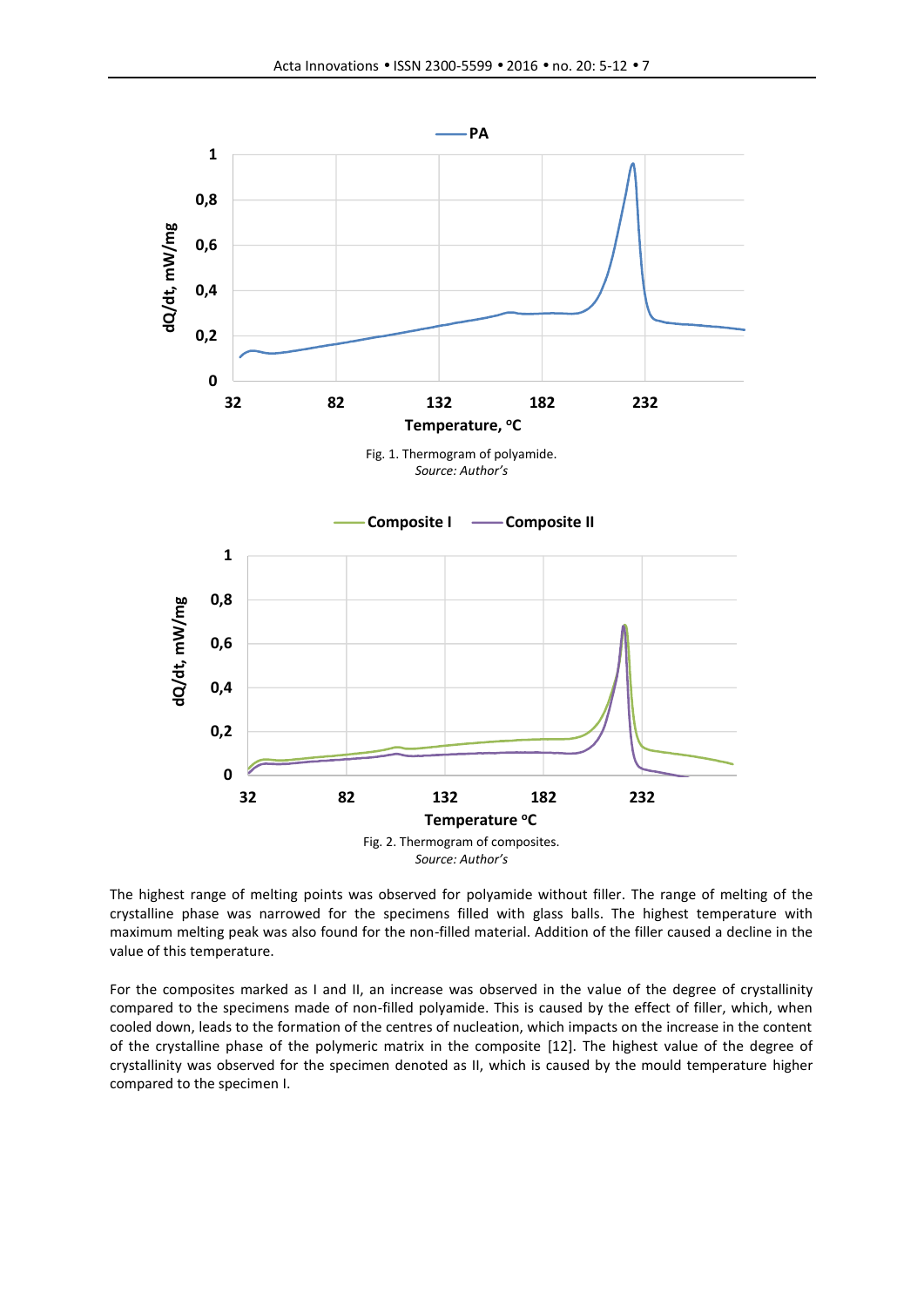

The highest range of melting points was observed for polyamide without filler. The range of melting of the crystalline phase was narrowed for the specimens filled with glass balls. The highest temperature with maximum melting peak was also found for the non-filled material. Addition of the filler caused a decline in the value of this temperature.

For the composites marked as I and II, an increase was observed in the value of the degree of crystallinity compared to the specimens made of non-filled polyamide. This is caused by the effect of filler, which, when cooled down, leads to the formation of the centres of nucleation, which impacts on the increase in the content of the crystalline phase of the polymeric matrix in the composite [12]. The highest value of the degree of crystallinity was observed for the specimen denoted as II, which is caused by the mould temperature higher compared to the specimen I.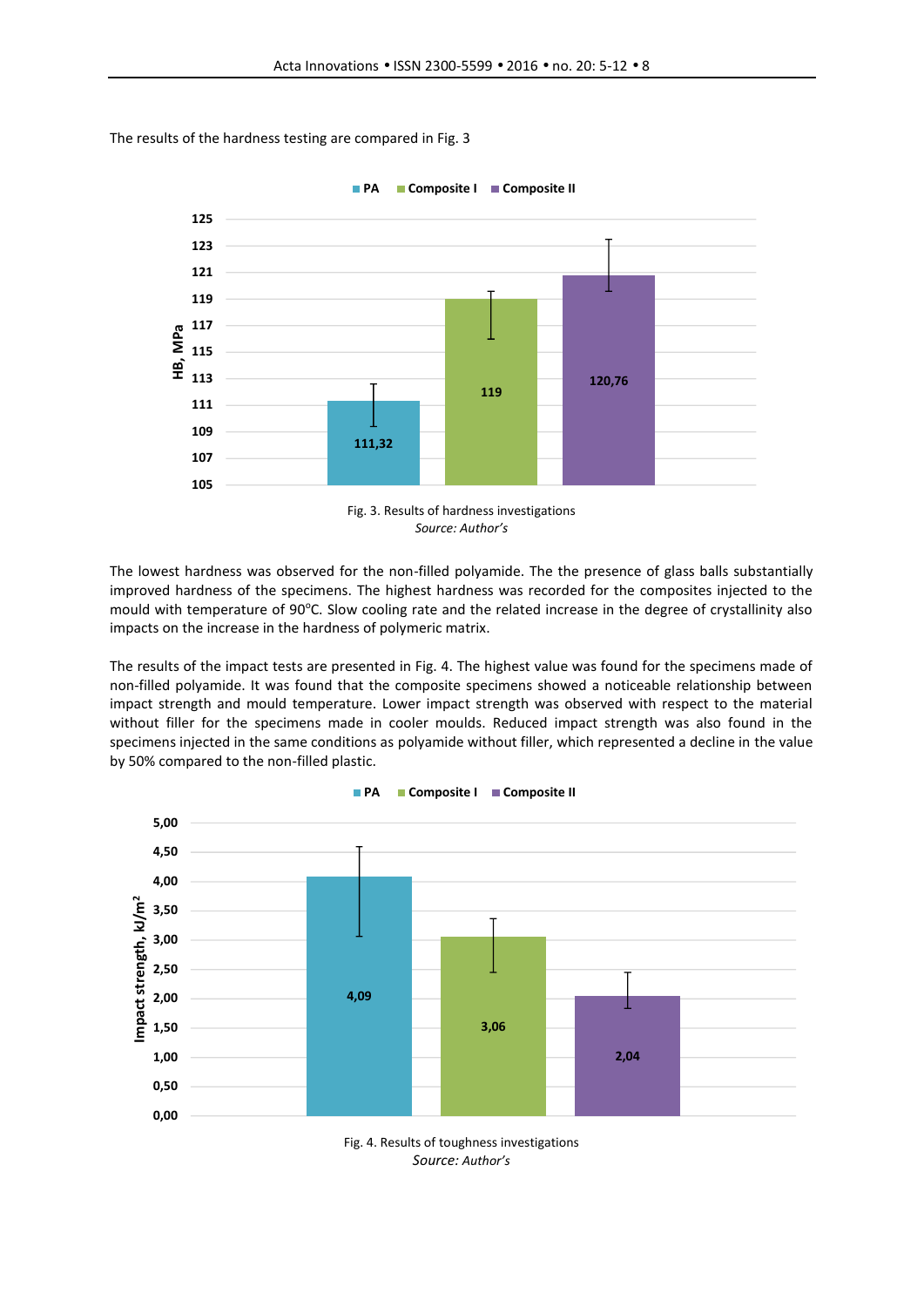**PA Composite I Composite II**



The results of the hardness testing are compared in Fig. 3



The lowest hardness was observed for the non-filled polyamide. The the presence of glass balls substantially improved hardness of the specimens. The highest hardness was recorded for the composites injected to the mould with temperature of 90°C. Slow cooling rate and the related increase in the degree of crystallinity also impacts on the increase in the hardness of polymeric matrix.

The results of the impact tests are presented in Fig. 4. The highest value was found for the specimens made of non-filled polyamide. It was found that the composite specimens showed a noticeable relationship between impact strength and mould temperature. Lower impact strength was observed with respect to the material without filler for the specimens made in cooler moulds. Reduced impact strength was also found in the specimens injected in the same conditions as polyamide without filler, which represented a decline in the value by 50% compared to the non-filled plastic.



**PA Composite I Composite II**

*Source: Author's*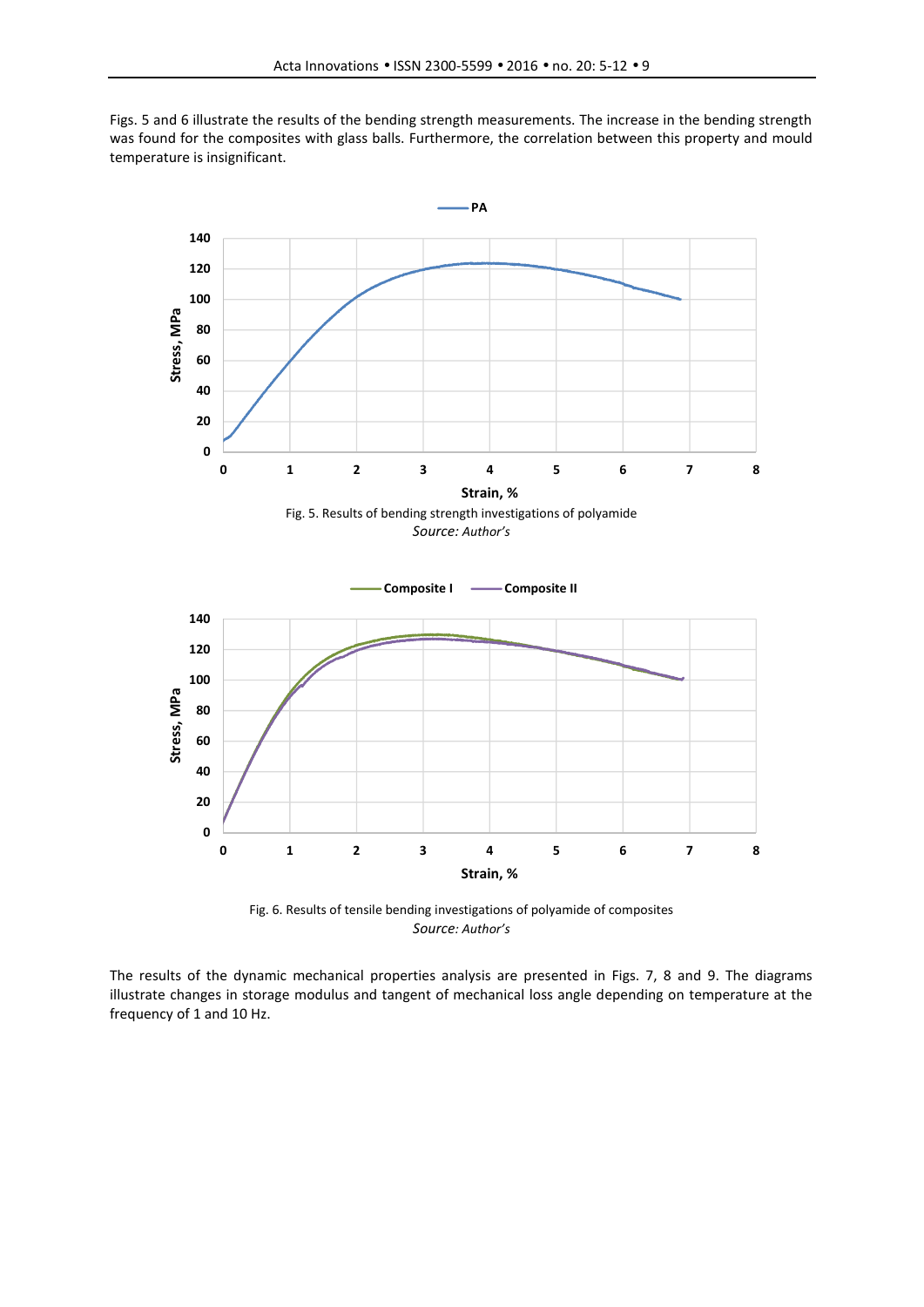





The results of the dynamic mechanical properties analysis are presented in Figs. 7, 8 and 9. The diagrams illustrate changes in storage modulus and tangent of mechanical loss angle depending on temperature at the frequency of 1 and 10 Hz.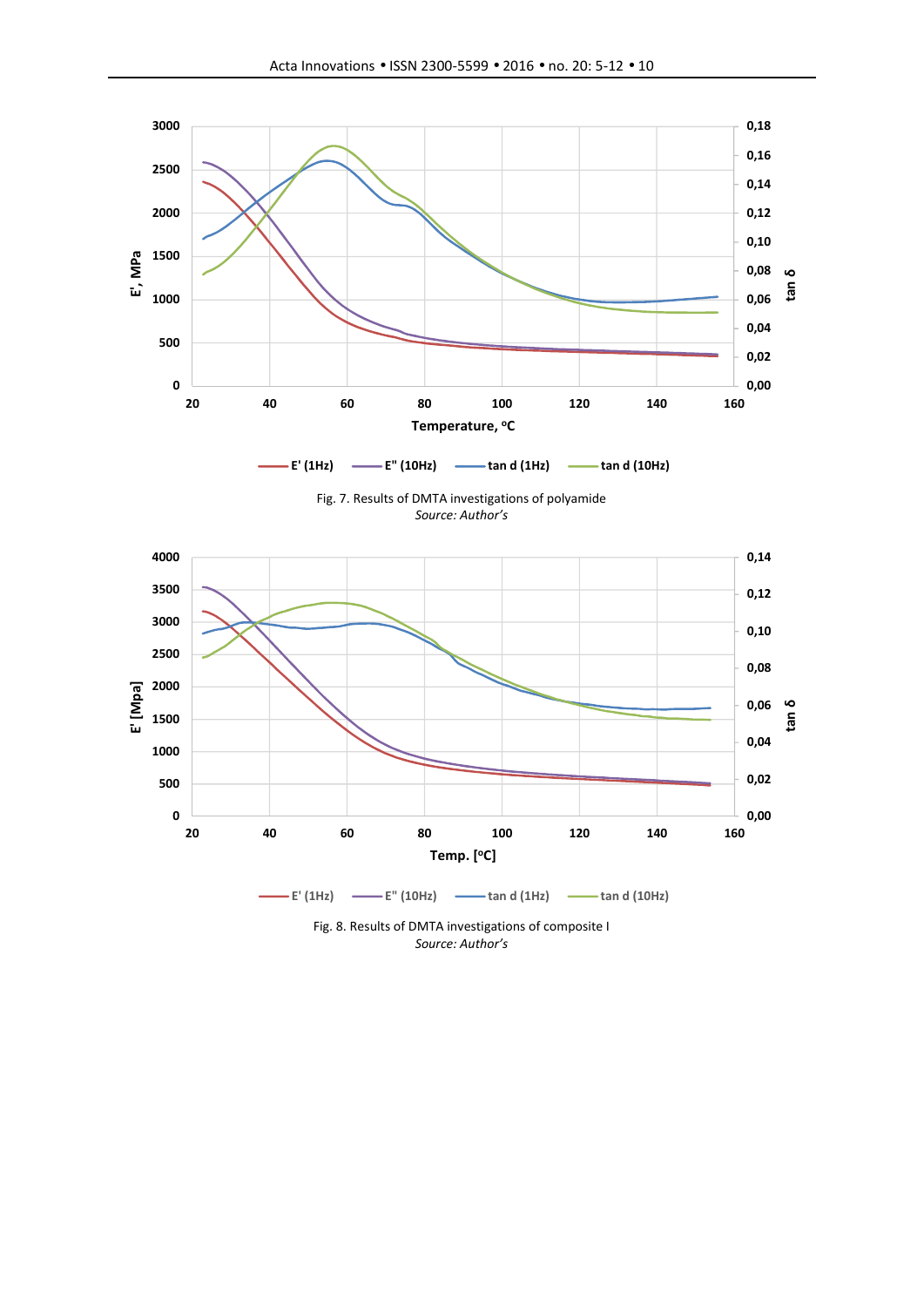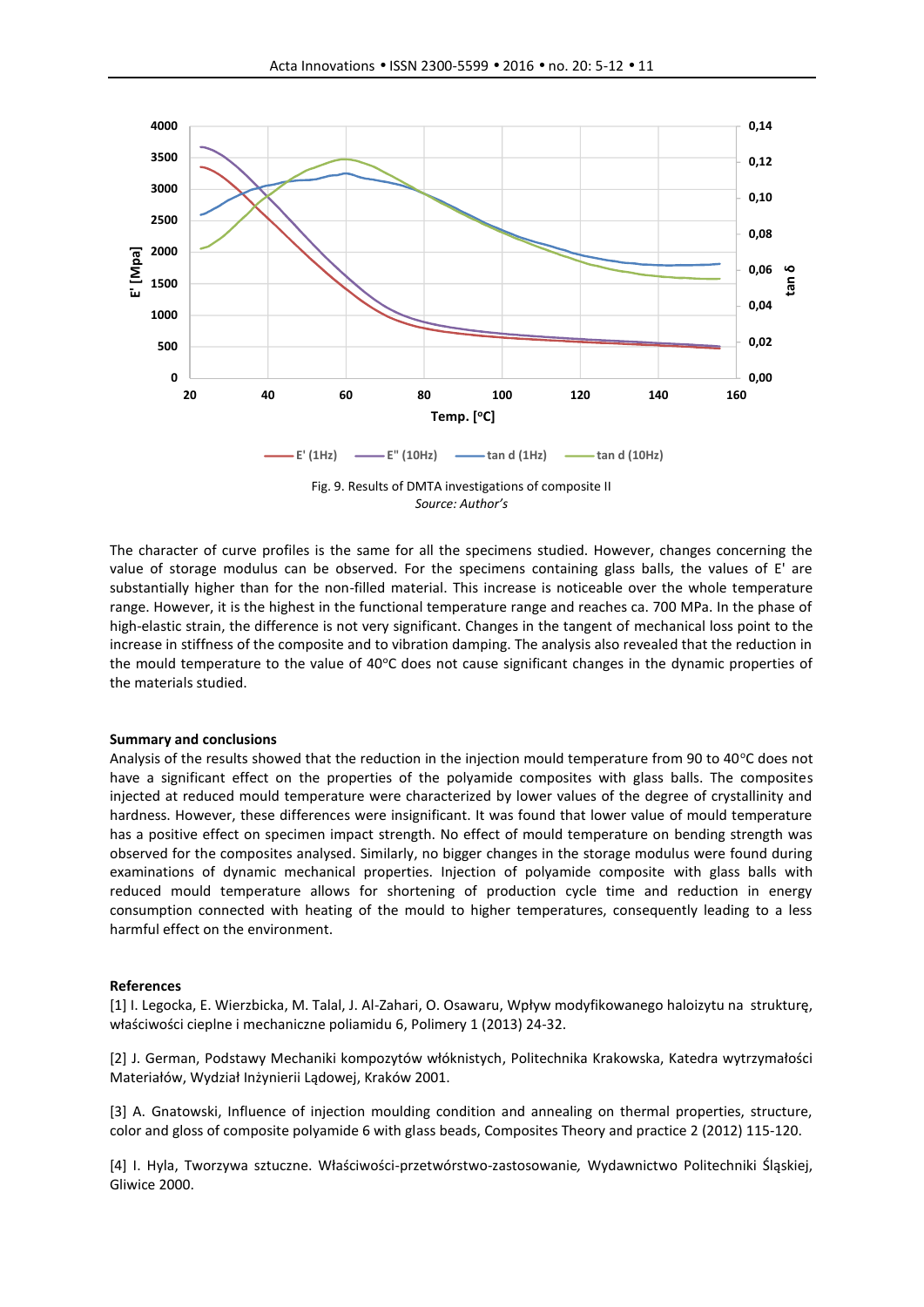

*Source: Author's*

The character of curve profiles is the same for all the specimens studied. However, changes concerning the value of storage modulus can be observed. For the specimens containing glass balls, the values of E' are substantially higher than for the non-filled material. This increase is noticeable over the whole temperature range. However, it is the highest in the functional temperature range and reaches ca. 700 MPa. In the phase of high-elastic strain, the difference is not very significant. Changes in the tangent of mechanical loss point to the increase in stiffness of the composite and to vibration damping. The analysis also revealed that the reduction in the mould temperature to the value of 40°C does not cause significant changes in the dynamic properties of the materials studied.

#### **Summary and conclusions**

Analysis of the results showed that the reduction in the injection mould temperature from 90 to 40 $\degree$ C does not have a significant effect on the properties of the polyamide composites with glass balls. The composites injected at reduced mould temperature were characterized by lower values of the degree of crystallinity and hardness. However, these differences were insignificant. It was found that lower value of mould temperature has a positive effect on specimen impact strength. No effect of mould temperature on bending strength was observed for the composites analysed. Similarly, no bigger changes in the storage modulus were found during examinations of dynamic mechanical properties. Injection of polyamide composite with glass balls with reduced mould temperature allows for shortening of production cycle time and reduction in energy consumption connected with heating of the mould to higher temperatures, consequently leading to a less harmful effect on the environment.

#### **References**

[1] I. Legocka, E. Wierzbicka, M. Talal, J. Al-Zahari, O. Osawaru, Wpływ modyfikowanego haloizytu na strukturę, właściwości cieplne i mechaniczne poliamidu 6, Polimery 1 (2013) 24-32.

[2] J. German, Podstawy Mechaniki kompozytów włóknistych, Politechnika Krakowska, Katedra wytrzymałości Materiałów, Wydział Inżynierii Lądowej, Kraków 2001.

[3] A. Gnatowski, Influence of injection moulding condition and annealing on thermal properties, structure, color and gloss of composite polyamide 6 with glass beads, Composites Theory and practice 2 (2012) 115-120.

[4] I. Hyla, Tworzywa sztuczne. Właściwości-przetwórstwo-zastosowanie*,* Wydawnictwo Politechniki Śląskiej, Gliwice 2000.